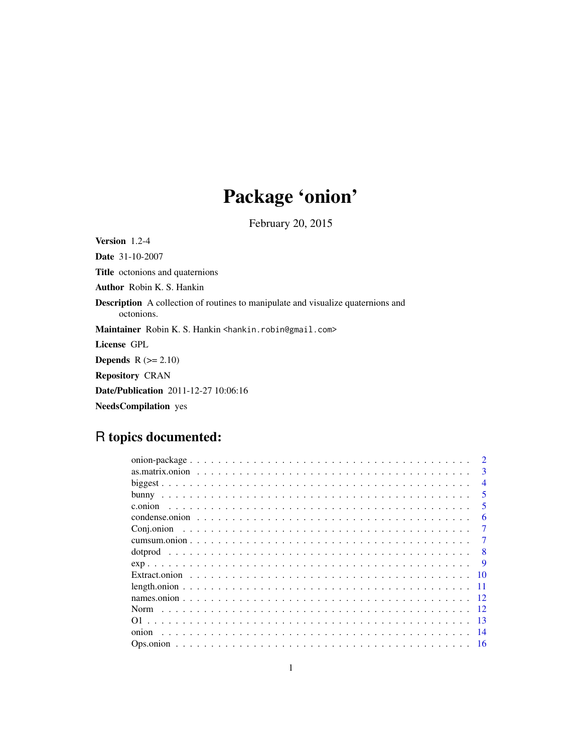# Package 'onion'

February 20, 2015

Version 1.2-4 Date 31-10-2007 Title octonions and quaternions Author Robin K. S. Hankin Description A collection of routines to manipulate and visualize quaternions and octonions. Maintainer Robin K. S. Hankin <hankin.robin@gmail.com> License GPL **Depends**  $R$  ( $>= 2.10$ ) Repository CRAN Date/Publication 2011-12-27 10:06:16 NeedsCompilation yes

# R topics documented:

|       | $\mathcal{D}$            |
|-------|--------------------------|
|       | 3                        |
|       | $\boldsymbol{\varDelta}$ |
|       | $\overline{\mathbf{5}}$  |
|       | 5                        |
|       | 6                        |
|       | 7                        |
|       |                          |
|       | 8                        |
|       |                          |
|       |                          |
|       |                          |
|       |                          |
| Norm  | $\overline{12}$          |
|       | -13                      |
| onion | -14                      |
|       | 16                       |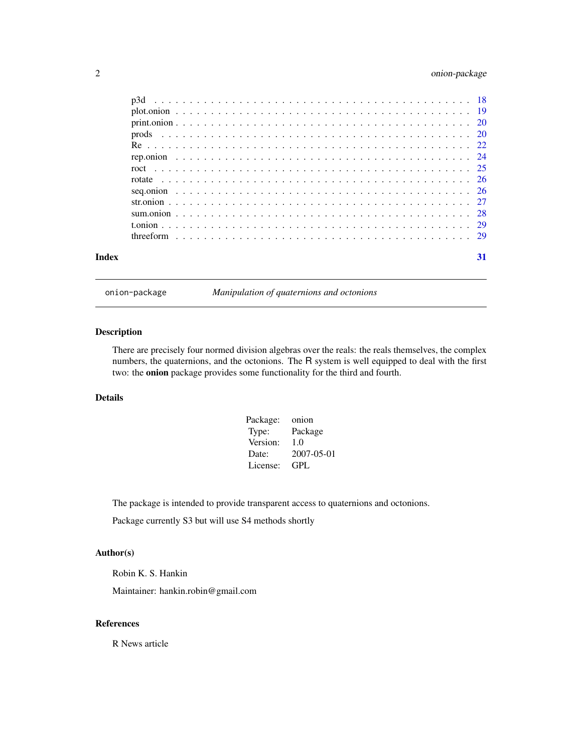# <span id="page-1-0"></span>2 onion-package

| Index |  |  |  |  |  |  |  |  |  |  |  |  |  |  |  |  |  |  |  |  |  | 31 |
|-------|--|--|--|--|--|--|--|--|--|--|--|--|--|--|--|--|--|--|--|--|--|----|

onion-package *Manipulation of quaternions and octonions*

#### Description

There are precisely four normed division algebras over the reals: the reals themselves, the complex numbers, the quaternions, and the octonions. The R system is well equipped to deal with the first two: the onion package provides some functionality for the third and fourth.

# Details

| Package: | onion      |
|----------|------------|
| Type:    | Package    |
| Version: | 1.0        |
| Date:    | 2007-05-01 |
| License: | GPL.       |

The package is intended to provide transparent access to quaternions and octonions.

Package currently S3 but will use S4 methods shortly

#### Author(s)

Robin K. S. Hankin

Maintainer: hankin.robin@gmail.com

## References

R News article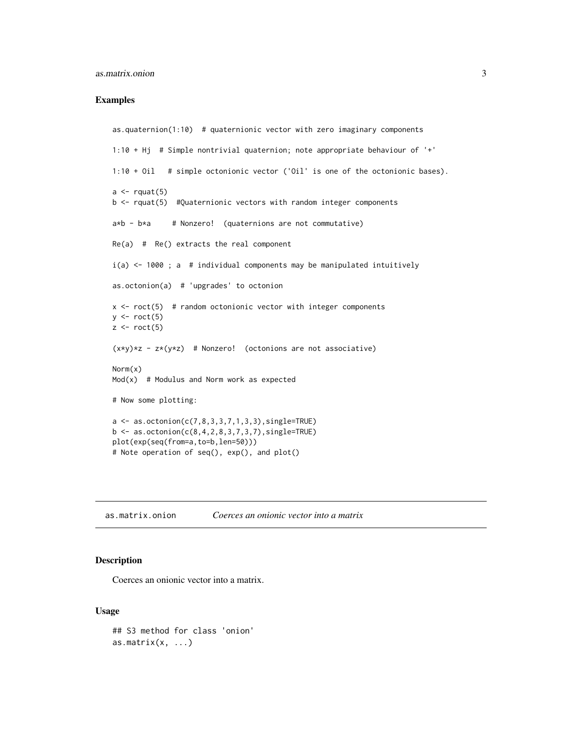#### <span id="page-2-0"></span>as.matrix.onion 3

#### Examples

```
as.quaternion(1:10) # quaternionic vector with zero imaginary components
1:10 + Hj # Simple nontrivial quaternion; note appropriate behaviour of '+'
1:10 + Oil # simple octonionic vector ('Oil' is one of the octonionic bases).
a \leftarrow \text{rquat}(5)b <- rquat(5) #Quaternionic vectors with random integer components
a*b - b*a # Nonzero! (quaternions are not commutative)
Re(a) # Re() extracts the real component
i(a) <- 1000; a # individual components may be manipulated intuitively
as.octonion(a) # 'upgrades' to octonion
x \le roct(5) # random octonionic vector with integer components
y \leftarrow \text{rect}(5)z \leftarrow \text{rect}(5)(x*y)*z - z*(y*z) # Nonzero! (octonions are not associative)
Norm(x)
Mod(x) # Modulus and Norm work as expected
# Now some plotting:
a \leq -as.octonion(c(7, 8, 3, 3, 7, 1, 3, 3), single = TRUE)b \leq -as.octonion(c(8,4,2,8,3,7,3,7),single=TRUE)
plot(exp(seq(from=a,to=b,len=50)))
# Note operation of seq(), exp(), and plot()
```
as.matrix.onion *Coerces an onionic vector into a matrix*

#### Description

Coerces an onionic vector into a matrix.

#### Usage

```
## S3 method for class 'onion'
as.matrix(x, \ldots)
```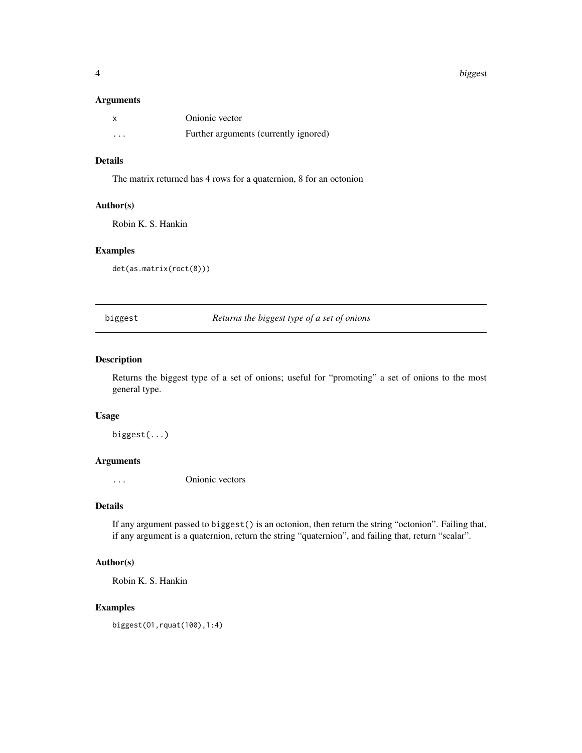#### 4 biggest the contract of the contract of the contract of the contract of the contract of the contract of the contract of the contract of the contract of the contract of the contract of the contract of the contract of the

#### Arguments

|          | Onionic vector                        |
|----------|---------------------------------------|
| $\cdots$ | Further arguments (currently ignored) |

#### Details

The matrix returned has 4 rows for a quaternion, 8 for an octonion

#### Author(s)

Robin K. S. Hankin

#### Examples

det(as.matrix(roct(8)))

biggest *Returns the biggest type of a set of onions*

#### Description

Returns the biggest type of a set of onions; useful for "promoting" a set of onions to the most general type.

#### Usage

biggest(...)

#### Arguments

... Onionic vectors

#### Details

If any argument passed to biggest() is an octonion, then return the string "octonion". Failing that, if any argument is a quaternion, return the string "quaternion", and failing that, return "scalar".

#### Author(s)

Robin K. S. Hankin

#### Examples

biggest(O1,rquat(100),1:4)

<span id="page-3-0"></span>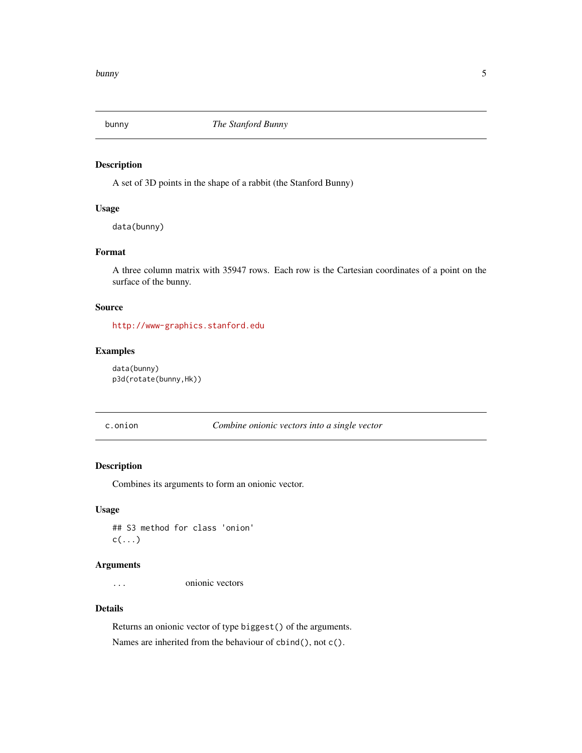<span id="page-4-1"></span><span id="page-4-0"></span>

A set of 3D points in the shape of a rabbit (the Stanford Bunny)

#### Usage

data(bunny)

# Format

A three column matrix with 35947 rows. Each row is the Cartesian coordinates of a point on the surface of the bunny.

#### Source

<http://www-graphics.stanford.edu>

#### Examples

data(bunny) p3d(rotate(bunny,Hk))

c.onion *Combine onionic vectors into a single vector*

#### Description

Combines its arguments to form an onionic vector.

#### Usage

## S3 method for class 'onion'  $c(\ldots)$ 

#### Arguments

... onionic vectors

#### Details

Returns an onionic vector of type biggest() of the arguments. Names are inherited from the behaviour of cbind(), not c().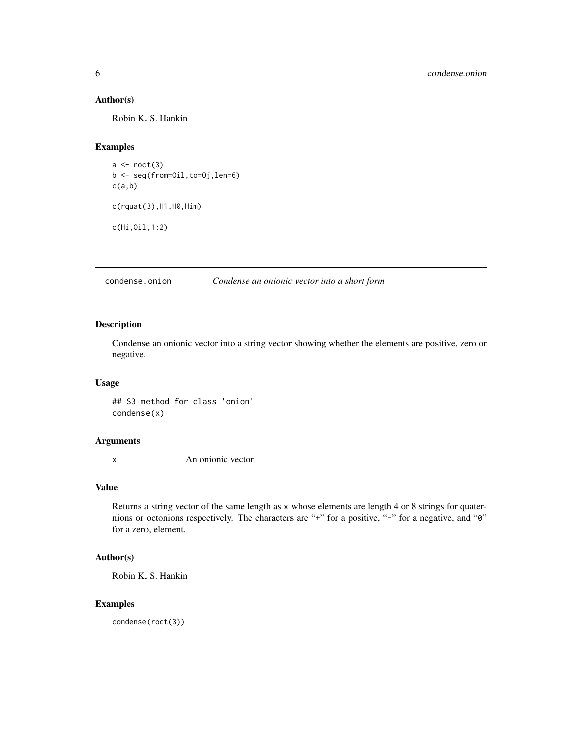#### <span id="page-5-0"></span>Author(s)

Robin K. S. Hankin

#### Examples

```
a \leftarrow \text{rect}(3)b <- seq(from=Oil,to=Oj,len=6)
c(a,b)c(rquat(3),H1,H0,Him)
c(Hi,Oil,1:2)
```
condense.onion *Condense an onionic vector into a short form*

#### <span id="page-5-1"></span>Description

Condense an onionic vector into a string vector showing whether the elements are positive, zero or negative.

#### Usage

## S3 method for class 'onion' condense(x)

#### Arguments

x An onionic vector

#### Value

Returns a string vector of the same length as x whose elements are length 4 or 8 strings for quaternions or octonions respectively. The characters are "+" for a positive, "-" for a negative, and "0" for a zero, element.

#### Author(s)

Robin K. S. Hankin

#### Examples

condense(roct(3))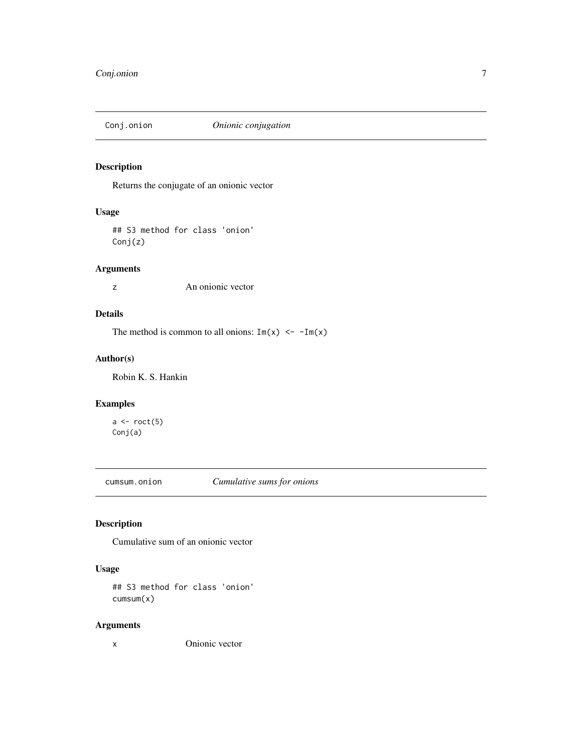<span id="page-6-0"></span>

Returns the conjugate of an onionic vector

#### Usage

## S3 method for class 'onion' Conj(z)

#### Arguments

z An onionic vector

# Details

The method is common to all onions:  $Im(x) \le -Im(x)$ 

#### Author(s)

Robin K. S. Hankin

#### Examples

 $a \leftarrow \text{rect}(5)$ Conj(a)

cumsum.onion *Cumulative sums for onions*

# Description

Cumulative sum of an onionic vector

#### Usage

## S3 method for class 'onion' cumsum(x)

#### Arguments

x Onionic vector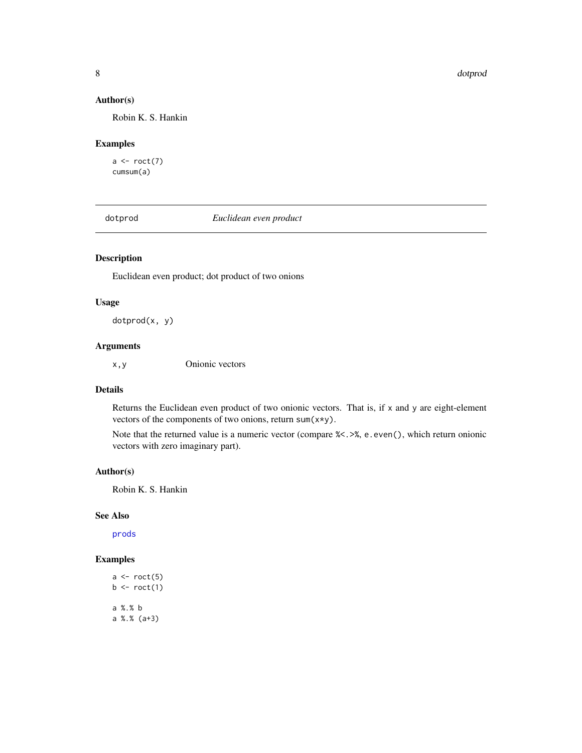#### <span id="page-7-0"></span>Author(s)

Robin K. S. Hankin

#### Examples

 $a \leftarrow \text{rect}(7)$ cumsum(a)

dotprod *Euclidean even product*

## Description

Euclidean even product; dot product of two onions

#### Usage

dotprod(x, y)

#### Arguments

x,y Onionic vectors

#### Details

Returns the Euclidean even product of two onionic vectors. That is, if x and y are eight-element vectors of the components of two onions, return sum(x\*y).

Note that the returned value is a numeric vector (compare %<.>%, e.even(), which return onionic vectors with zero imaginary part).

#### Author(s)

Robin K. S. Hankin

#### See Also

[prods](#page-19-1)

# Examples

```
a \leftarrow \text{rect}(5)b \leftarrow \text{rect}(1)a %.% b
a %.% (a+3)
```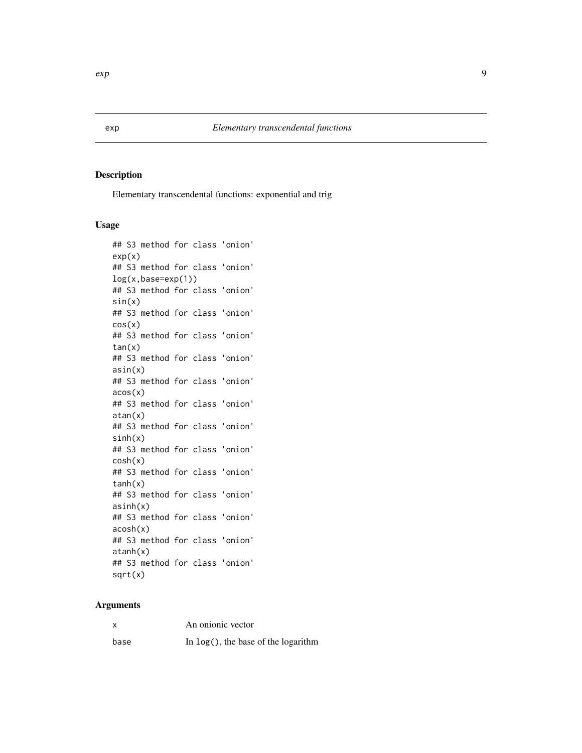<span id="page-8-0"></span>Elementary transcendental functions: exponential and trig

#### Usage

```
## S3 method for class 'onion'
exp(x)## S3 method for class 'onion'
log(x,base=exp(1))
## S3 method for class 'onion'
sin(x)## S3 method for class 'onion'
cos(x)
## S3 method for class 'onion'
tan(x)
## S3 method for class 'onion'
asin(x)
## S3 method for class 'onion'
acos(x)
## S3 method for class 'onion'
atan(x)
## S3 method for class 'onion'
sinh(x)## S3 method for class 'onion'
cosh(x)
## S3 method for class 'onion'
tanh(x)
## S3 method for class 'onion'
asinh(x)
## S3 method for class 'onion'
acosh(x)
## S3 method for class 'onion'
atanh(x)
## S3 method for class 'onion'
sqrt(x)
```
#### Arguments

x An onionic vector base In log(), the base of the logarithm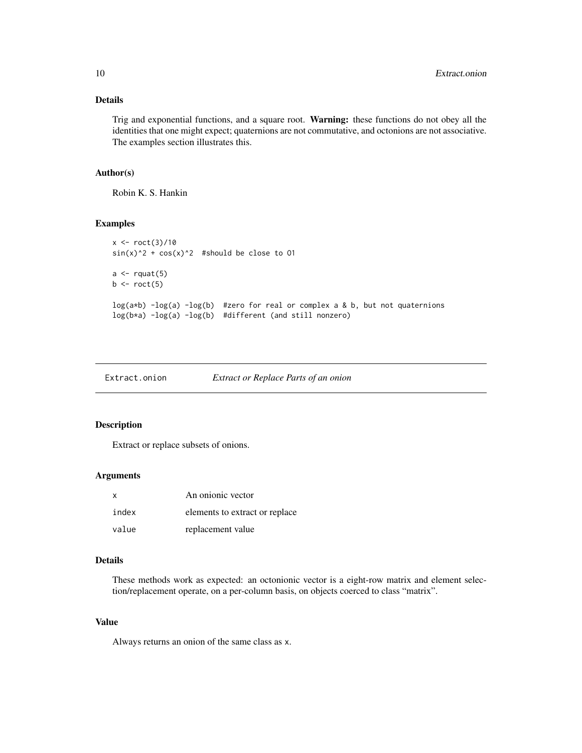# <span id="page-9-0"></span>Details

Trig and exponential functions, and a square root. Warning: these functions do not obey all the identities that one might expect; quaternions are not commutative, and octonions are not associative. The examples section illustrates this.

#### Author(s)

Robin K. S. Hankin

#### Examples

```
x < - roct(3)/10
sin(x)^2 + cos(x)^2 #should be close to 01
a \leftarrow \text{rquat}(5)b \leftarrow \text{rect}(5)log(a*b) -log(a) -log(b) #zero for real or complex a & b, but not quaternions
log(b*a) -log(a) -log(b) #different (and still nonzero)
```

| Extract.onion | Extract or Replace Parts of an onion |  |
|---------------|--------------------------------------|--|
|---------------|--------------------------------------|--|

#### Description

Extract or replace subsets of onions.

#### Arguments

| X     | An onionic vector              |
|-------|--------------------------------|
| index | elements to extract or replace |
| value | replacement value              |

#### Details

These methods work as expected: an octonionic vector is a eight-row matrix and element selection/replacement operate, on a per-column basis, on objects coerced to class "matrix".

## Value

Always returns an onion of the same class as x.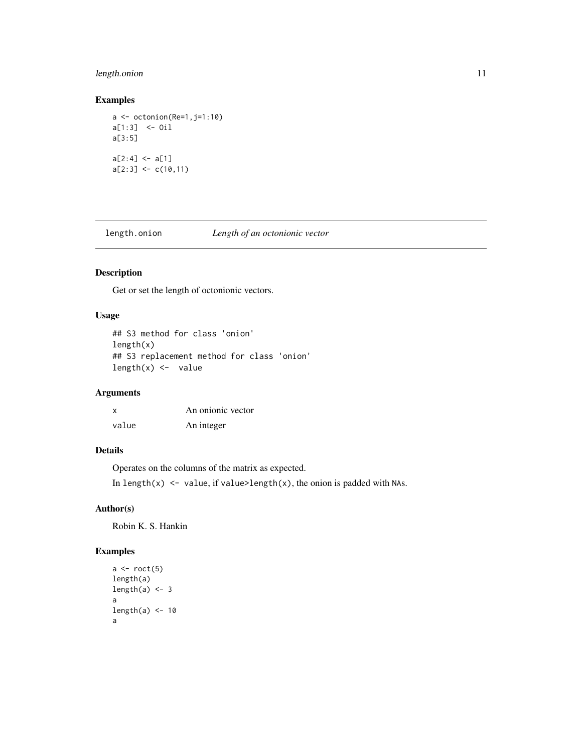#### <span id="page-10-0"></span>length.onion 11

#### Examples

```
a \leftarrow octonion(Re=1,j=1:10)a[1:3] <- Oil
a[3:5]
a[2:4] < -a[1]a[2:3] <- c(10,11)
```
length.onion *Length of an octonionic vector*

# Description

Get or set the length of octonionic vectors.

# Usage

```
## S3 method for class 'onion'
length(x)
## S3 replacement method for class 'onion'
length(x) <- value
```
#### Arguments

| X     | An onionic vector |
|-------|-------------------|
| value | An integer        |

# Details

Operates on the columns of the matrix as expected. In length(x)  $\le$  value, if value>length(x), the onion is padded with NAs.

#### Author(s)

Robin K. S. Hankin

## Examples

```
a \leftarrow \text{rect}(5)length(a)
length(a) <-3a
length(a) < -10a
```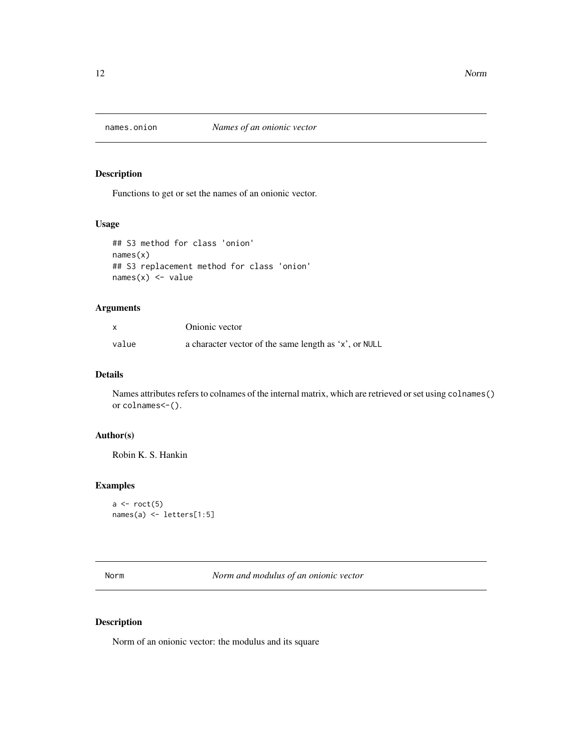<span id="page-11-0"></span>

Functions to get or set the names of an onionic vector.

#### Usage

```
## S3 method for class 'onion'
names(x)
## S3 replacement method for class 'onion'
names(x) <- value
```
#### Arguments

|       | Onionic vector                                        |
|-------|-------------------------------------------------------|
| value | a character vector of the same length as 'x', or NULL |

#### Details

Names attributes refers to colnames of the internal matrix, which are retrieved or set using colnames() or colnames<-().

#### Author(s)

Robin K. S. Hankin

#### Examples

```
a \leftarrow \text{rect}(5)names(a) <- letters[1:5]
```
Norm *Norm and modulus of an onionic vector*

#### Description

Norm of an onionic vector: the modulus and its square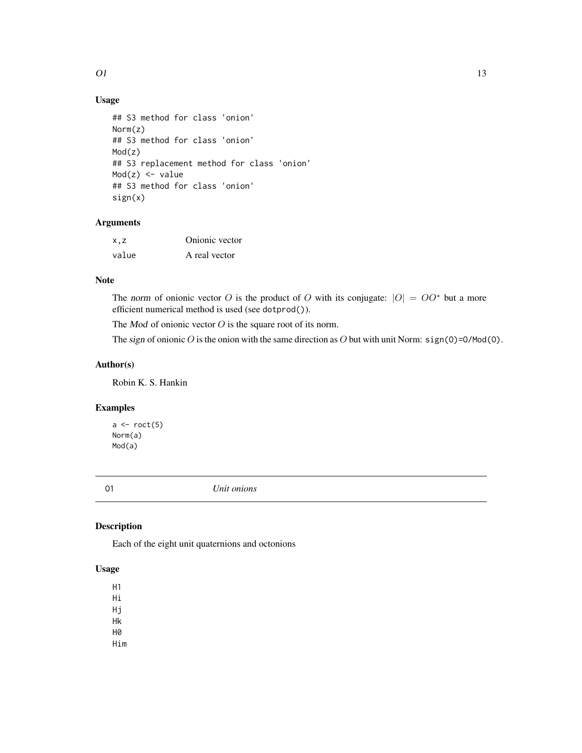# <span id="page-12-0"></span>Usage

```
## S3 method for class 'onion'
Norm(z)
## S3 method for class 'onion'
Mod(z)
## S3 replacement method for class 'onion'
Mod(z) <- value
## S3 method for class 'onion'
sign(x)
```
#### Arguments

| x.z   | Onionic vector |
|-------|----------------|
| value | A real vector  |

#### Note

The norm of onionic vector O is the product of O with its conjugate:  $|O| = OO^*$  but a more efficient numerical method is used (see dotprod()).

The  $Mod$  of onionic vector  $O$  is the square root of its norm.

The sign of onionic O is the onion with the same direction as O but with unit Norm:  $sign(0) = 0$ /Mod(0).

#### Author(s)

Robin K. S. Hankin

#### Examples

 $a \leftarrow \text{rect}(5)$ Norm(a) Mod(a)

O1 *Unit onions*

# **Description**

Each of the eight unit quaternions and octonions

#### Usage

H1 Hi Hj Hk H0 Him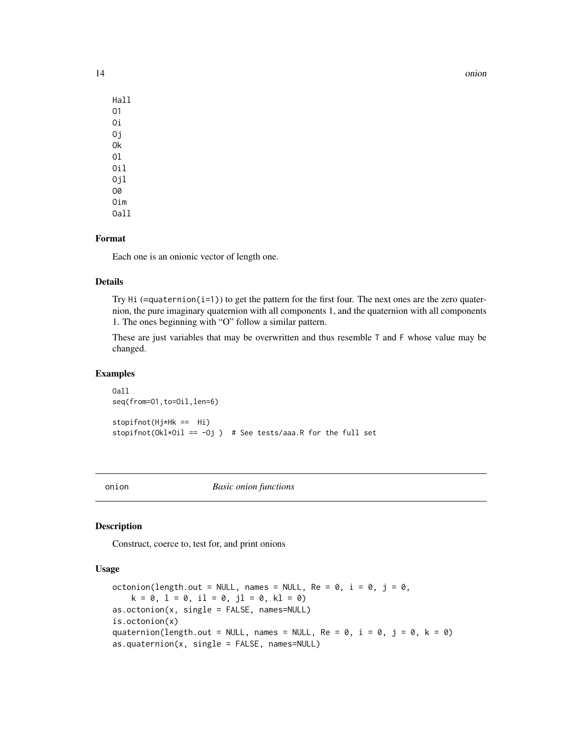14 onion and the contract of the contract of the contract of the contract of the contract of the contract of the contract of the contract of the contract of the contract of the contract of the contract of the contract of t

| Hall  |
|-------|
| 01    |
| Оi    |
| Οi    |
| 0k    |
| 01    |
| 0i1   |
| 0il   |
| 00    |
| Oim   |
| 0a] i |

#### Format

Each one is an onionic vector of length one.

#### Details

Try  $Hi$  (=quaternion(i=1)) to get the pattern for the first four. The next ones are the zero quaternion, the pure imaginary quaternion with all components 1, and the quaternion with all components 1. The ones beginning with "O" follow a similar pattern.

These are just variables that may be overwritten and thus resemble T and F whose value may be changed.

#### Examples

```
Oall
seq(from=01,to=0il,len=6)
stopifnot(Hj*Hk == Hi)
stopifnot(Okl*Oil == -Oj ) # See tests/aaa.R for the full set
```
onion *Basic onion functions*

#### <span id="page-13-1"></span>Description

Construct, coerce to, test for, and print onions

#### Usage

```
octonion(length.out = NULL, names = NULL, Re = 0, i = 0, j = 0,
    k = 0, l = 0, il = 0, jl = 0, kl = 0)
as.octonion(x, single = FALSE, names=NULL)
is.octonion(x)
quaternion(length.out = NULL, names = NULL, Re = 0, i = 0, j = 0, k = 0)
as.quaternion(x, single = FALSE, names=NULL)
```
<span id="page-13-0"></span>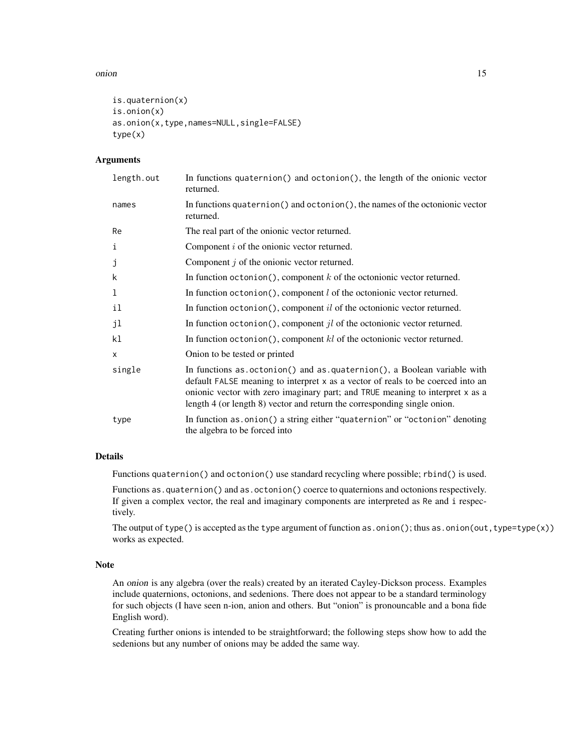#### onion and the contract of the contract of the contract of the contract of the contract of the contract of the contract of the contract of the contract of the contract of the contract of the contract of the contract of the

```
is.quaternion(x)
is.onion(x)
as.onion(x,type,names=NULL,single=FALSE)
type(x)
```
#### **Arguments**

| length.out | In functions quaternion() and octonion(), the length of the onionic vector<br>returned.                                                                                                                                                                                                                                 |
|------------|-------------------------------------------------------------------------------------------------------------------------------------------------------------------------------------------------------------------------------------------------------------------------------------------------------------------------|
| names      | In functions quaternion () and octonion (), the names of the octonionic vector<br>returned.                                                                                                                                                                                                                             |
| Re         | The real part of the onionic vector returned.                                                                                                                                                                                                                                                                           |
| $\rm i$    | Component $i$ of the onionic vector returned.                                                                                                                                                                                                                                                                           |
| j          | Component $j$ of the onionic vector returned.                                                                                                                                                                                                                                                                           |
| k          | In function octonion(), component $k$ of the octonionic vector returned.                                                                                                                                                                                                                                                |
| 1          | In function octonion(), component $l$ of the octonionic vector returned.                                                                                                                                                                                                                                                |
| il         | In function octonion(), component $il$ of the octonionic vector returned.                                                                                                                                                                                                                                               |
| jl         | In function octonion(), component $jl$ of the octonionic vector returned.                                                                                                                                                                                                                                               |
| k1         | In function octonion(), component $kl$ of the octonionic vector returned.                                                                                                                                                                                                                                               |
| $\times$   | Onion to be tested or printed                                                                                                                                                                                                                                                                                           |
| single     | In functions as octonion() and as quaternion(), a Boolean variable with<br>default FALSE meaning to interpret x as a vector of reals to be coerced into an<br>onionic vector with zero imaginary part; and TRUE meaning to interpret x as a<br>length 4 (or length 8) vector and return the corresponding single onion. |
| type       | In function as.onion() a string either "quaternion" or "octonion" denoting<br>the algebra to be forced into                                                                                                                                                                                                             |

#### Details

Functions quaternion() and octonion() use standard recycling where possible; rbind() is used.

Functions as.quaternion() and as.octonion() coerce to quaternions and octonions respectively. If given a complex vector, the real and imaginary components are interpreted as Re and i respectively.

The output of type() is accepted as the type argument of function as.onion(); thus as.onion(out, type=type(x)) works as expected.

#### Note

An onion is any algebra (over the reals) created by an iterated Cayley-Dickson process. Examples include quaternions, octonions, and sedenions. There does not appear to be a standard terminology for such objects (I have seen n-ion, anion and others. But "onion" is pronouncable and a bona fide English word).

Creating further onions is intended to be straightforward; the following steps show how to add the sedenions but any number of onions may be added the same way.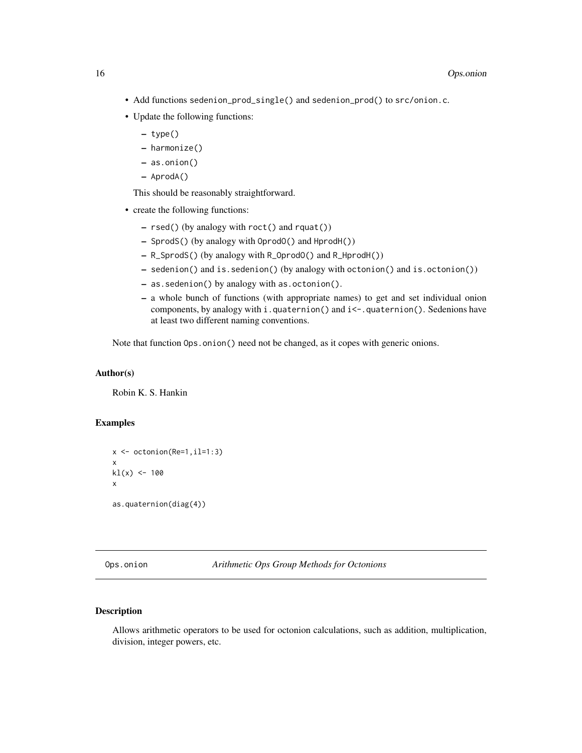- <span id="page-15-0"></span>• Add functions sedenion\_prod\_single() and sedenion\_prod() to src/onion.c.
- Update the following functions:
	- type()
	- harmonize()
	- as.onion()
	- AprodA()

This should be reasonably straightforward.

- create the following functions:
	- rsed() (by analogy with roct() and rquat())
	- SprodS() (by analogy with OprodO() and HprodH())
	- R\_SprodS() (by analogy with R\_OprodO() and R\_HprodH())
	- sedenion() and is.sedenion() (by analogy with octonion() and is.octonion())
	- as.sedenion() by analogy with as.octonion().
	- a whole bunch of functions (with appropriate names) to get and set individual onion components, by analogy with i.quaternion() and i<-.quaternion(). Sedenions have at least two different naming conventions.

Note that function  $Ops \nvert$ . onion() need not be changed, as it copes with generic onions.

#### Author(s)

Robin K. S. Hankin

## Examples

```
x \leftarrow octonion(Re=1, il=1:3)x
kl(x) <- 100
x
as.quaternion(diag(4))
```
#### Description

Allows arithmetic operators to be used for octonion calculations, such as addition, multiplication, division, integer powers, etc.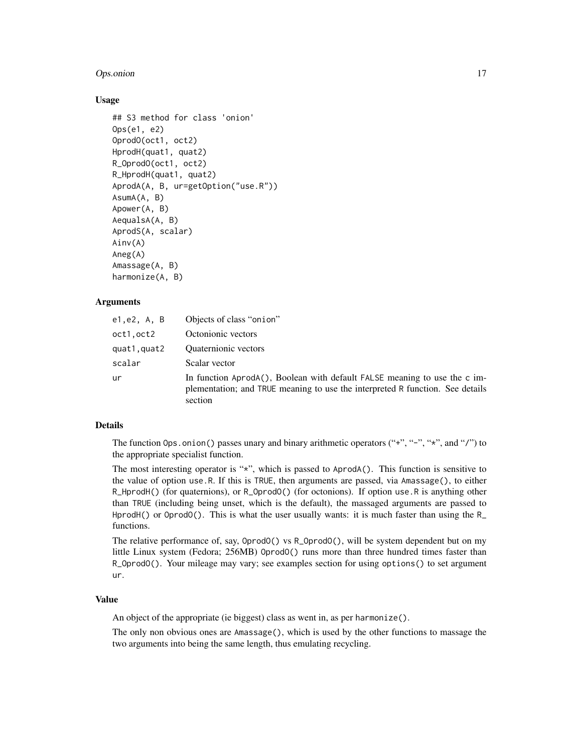#### **Ops.onion** 17

#### Usage

```
## S3 method for class 'onion'
Ops(e1, e2)
OprodO(oct1, oct2)
HprodH(quat1, quat2)
R_OprodO(oct1, oct2)
R_HprodH(quat1, quat2)
AprodA(A, B, ur=getOption("use.R"))
AsumA(A, B)
Apower(A, B)
AequalsA(A, B)
AprodS(A, scalar)
Ainv(A)
Aneg(A)
Amassage(A, B)
harmonize(A, B)
```
# Arguments

| e1,e2, A, B | Objects of class "onion"                                                                                                                                              |
|-------------|-----------------------------------------------------------------------------------------------------------------------------------------------------------------------|
| oct1.oct2   | Octonionic vectors                                                                                                                                                    |
| quat1.quat2 | <b>Quaternionic</b> vectors                                                                                                                                           |
| scalar      | Scalar vector                                                                                                                                                         |
| ur          | In function AprodA(), Boolean with default FALSE meaning to use the c im-<br>plementation; and TRUE meaning to use the interpreted R function. See details<br>section |

#### Details

The function Ops.onion() passes unary and binary arithmetic operators  $(*, "-'", "*, "', and "/")$  to the appropriate specialist function.

The most interesting operator is " $x$ ", which is passed to AprodA(). This function is sensitive to the value of option use.R. If this is TRUE, then arguments are passed, via Amassage(), to either R\_HprodH() (for quaternions), or R\_OprodO() (for octonions). If option use.R is anything other than TRUE (including being unset, which is the default), the massaged arguments are passed to HprodH() or OprodO(). This is what the user usually wants: it is much faster than using the  $R_$ functions.

The relative performance of, say, OprodO() vs R\_OprodO(), will be system dependent but on my little Linux system (Fedora; 256MB) OprodO() runs more than three hundred times faster than R\_OprodO(). Your mileage may vary; see examples section for using options() to set argument ur.

#### Value

An object of the appropriate (ie biggest) class as went in, as per harmonize().

The only non obvious ones are Amassage(), which is used by the other functions to massage the two arguments into being the same length, thus emulating recycling.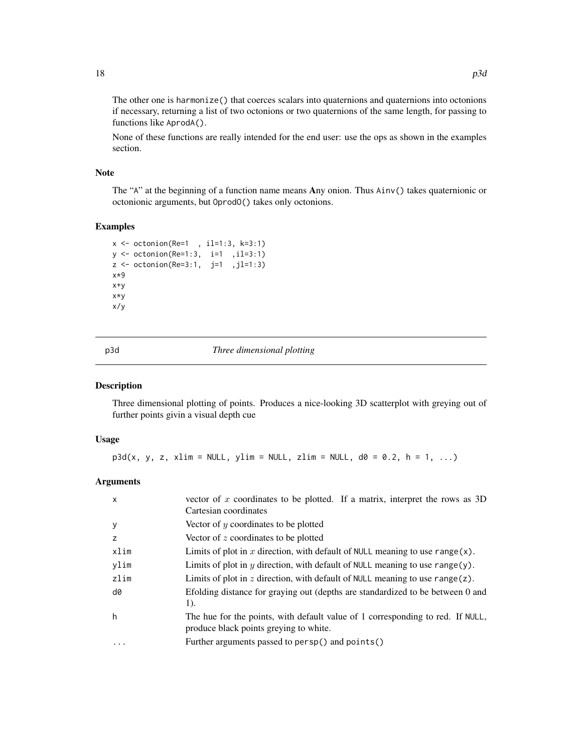The other one is harmonize() that coerces scalars into quaternions and quaternions into octonions if necessary, returning a list of two octonions or two quaternions of the same length, for passing to functions like AprodA().

None of these functions are really intended for the end user: use the ops as shown in the examples section.

#### Note

The "A" at the beginning of a function name means Any onion. Thus Ainv() takes quaternionic or octonionic arguments, but OprodO() takes only octonions.

#### Examples

```
x \le -\text{ octonion}(Re=1, 11=1:3, k=3:1)y <- octonion(Re=1:3, i=1 ,il=3:1)
z \le octonion(Re=3:1, j=1,jl=1:3)
x*9
x+y
x*y
x/y
```
p3d *Three dimensional plotting*

#### Description

Three dimensional plotting of points. Produces a nice-looking 3D scatterplot with greying out of further points givin a visual depth cue

#### Usage

 $p3d(x, y, z, xlim = NULL, ylim = NULL, zlim = NULL, d0 = 0.2, h = 1, ...)$ 

#### Arguments

| $\mathsf{x}$ | vector of x coordinates to be plotted. If a matrix, interpret the rows as $3D$<br>Cartesian coordinates                  |
|--------------|--------------------------------------------------------------------------------------------------------------------------|
| y            | Vector of $y$ coordinates to be plotted                                                                                  |
| Z            | Vector of z coordinates to be plotted                                                                                    |
| xlim         | Limits of plot in x direction, with default of NULL meaning to use range(x).                                             |
| ylim         | Limits of plot in $y$ direction, with default of NULL meaning to use range(y).                                           |
| zlim         | Limits of plot in $z$ direction, with default of NULL meaning to use range(z).                                           |
| d0           | Efolding distance for graying out (depths are standardized to be between 0 and<br>1).                                    |
| h            | The hue for the points, with default value of 1 corresponding to red. If NULL,<br>produce black points greying to white. |
|              | Further arguments passed to persp() and points()                                                                         |
|              |                                                                                                                          |

<span id="page-17-0"></span>18 p3d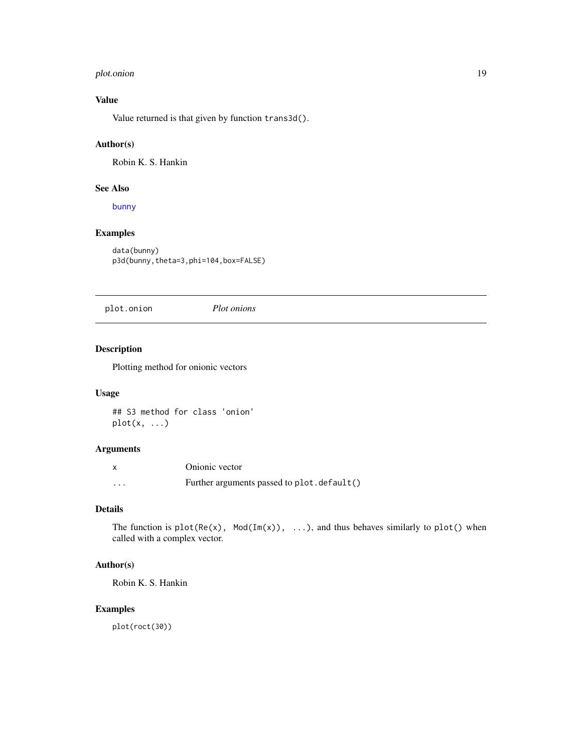#### <span id="page-18-0"></span>plot.onion 19

# Value

Value returned is that given by function trans3d().

#### Author(s)

Robin K. S. Hankin

#### See Also

[bunny](#page-4-1)

# Examples

data(bunny) p3d(bunny,theta=3,phi=104,box=FALSE)

plot.onion *Plot onions*

#### Description

Plotting method for onionic vectors

#### Usage

## S3 method for class 'onion'  $plot(x, \ldots)$ 

#### Arguments

| X        | Onionic vector                             |
|----------|--------------------------------------------|
| $\cdots$ | Further arguments passed to plot.default() |

# Details

The function is  $plot(Re(x), Mod(Im(x)), ...),$  and thus behaves similarly to  $plot()$  when called with a complex vector.

## Author(s)

Robin K. S. Hankin

#### Examples

plot(roct(30))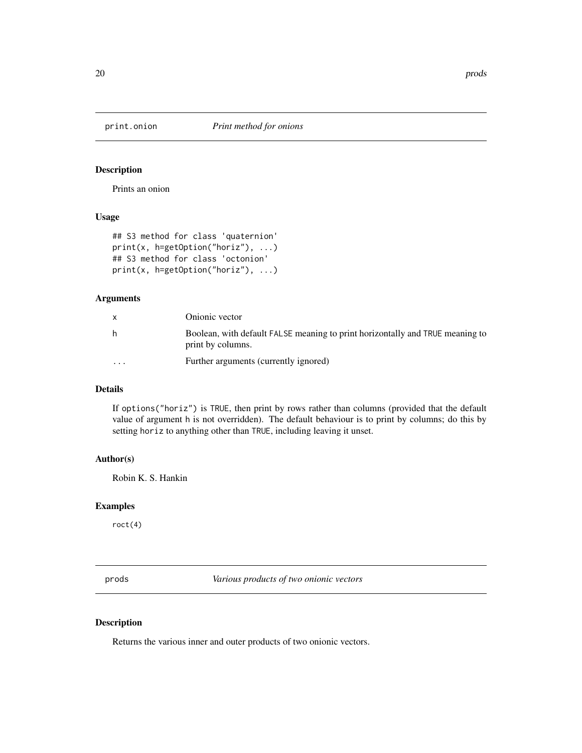<span id="page-19-0"></span>

Prints an onion

# Usage

```
## S3 method for class 'quaternion'
print(x, h=getOption("horiz"), ...)
## S3 method for class 'octonion'
print(x, h=getOption("horiz"), ...)
```
# Arguments

|          | Onionic vector                                                                                     |
|----------|----------------------------------------------------------------------------------------------------|
| h        | Boolean, with default FALSE meaning to print horizontally and TRUE meaning to<br>print by columns. |
| $\cdots$ | Further arguments (currently ignored)                                                              |

#### Details

If options("horiz") is TRUE, then print by rows rather than columns (provided that the default value of argument h is not overridden). The default behaviour is to print by columns; do this by setting horiz to anything other than TRUE, including leaving it unset.

## Author(s)

Robin K. S. Hankin

#### Examples

roct(4)

<span id="page-19-1"></span>prods *Various products of two onionic vectors*

#### Description

Returns the various inner and outer products of two onionic vectors.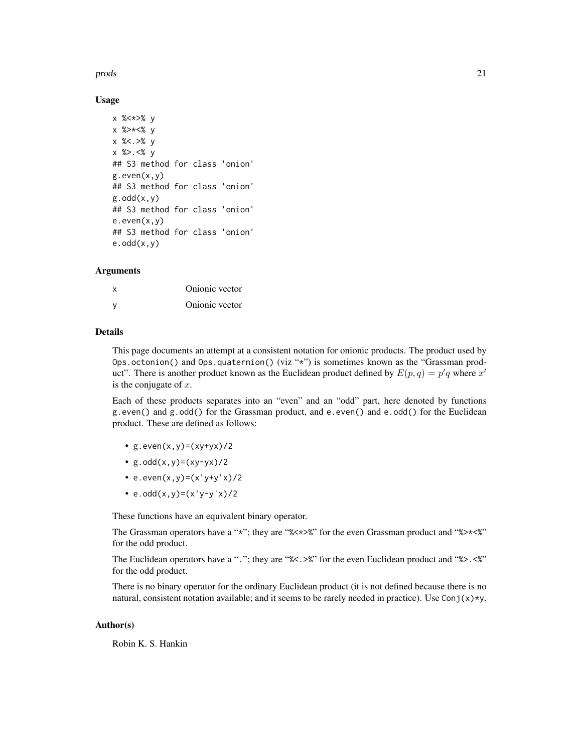#### prods 21

#### Usage

```
x %<*>% y
x %>*<% y
x %<.>% y
x %>.<% y
## S3 method for class 'onion'
g.even(x,y)## S3 method for class 'onion'
g.odd(x,y)## S3 method for class 'onion'
e.even(x,y)## S3 method for class 'onion'
e.odd(x,y)
```
#### Arguments

| x   | Onionic vector |
|-----|----------------|
| - V | Onionic vector |

#### Details

This page documents an attempt at a consistent notation for onionic products. The product used by Ops.octonion() and Ops.quaternion() (viz "\*") is sometimes known as the "Grassman product". There is another product known as the Euclidean product defined by  $E(p,q) = p'q$  where  $x'$ is the conjugate of  $x$ .

Each of these products separates into an "even" and an "odd" part, here denoted by functions g.even() and g.odd() for the Grassman product, and e.even() and e.odd() for the Euclidean product. These are defined as follows:

- $g.$ even $(x, y) = (xy + yx)/2$
- $g.odd(x,y)=(xy-yx)/2$
- e.even $(x, y) = (x' y + y' x) / 2$
- $e.odd(x,y)=(x'y-y'x)/2$

These functions have an equivalent binary operator.

The Grassman operators have a "\*"; they are "%<\*>%" for the even Grassman product and "%>\*<%" for the odd product.

The Euclidean operators have a "."; they are "%<.>%" for the even Euclidean product and "%>.<%" for the odd product.

There is no binary operator for the ordinary Euclidean product (it is not defined because there is no natural, consistent notation available; and it seems to be rarely needed in practice). Use Conj(x)\*y.

#### Author(s)

Robin K. S. Hankin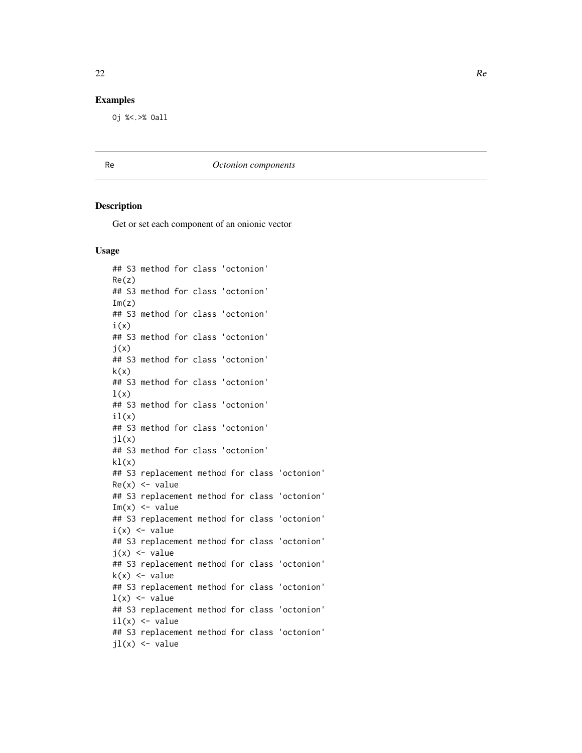#### <span id="page-21-0"></span>Examples

Oj %<.>% Oall

Re *Octonion components*

#### Description

Get or set each component of an onionic vector

#### Usage

## S3 method for class 'octonion' Re(z) ## S3 method for class 'octonion'  $Im(z)$ ## S3 method for class 'octonion'  $i(x)$ ## S3 method for class 'octonion'  $j(x)$ ## S3 method for class 'octonion'  $k(x)$ ## S3 method for class 'octonion'  $l(x)$ ## S3 method for class 'octonion'  $il(x)$ ## S3 method for class 'octonion'  $jl(x)$ ## S3 method for class 'octonion'  $kl(x)$ ## S3 replacement method for class 'octonion'  $Re(x) \le -\text{value}$ ## S3 replacement method for class 'octonion'  $Im(x)$  <- value ## S3 replacement method for class 'octonion'  $i(x)$  <- value ## S3 replacement method for class 'octonion'  $j(x)$  <- value ## S3 replacement method for class 'octonion'  $k(x) \leq v$ alue ## S3 replacement method for class 'octonion'  $l(x)$  <- value ## S3 replacement method for class 'octonion'  $il(x)$  <- value ## S3 replacement method for class 'octonion'  $jl(x)$  <- value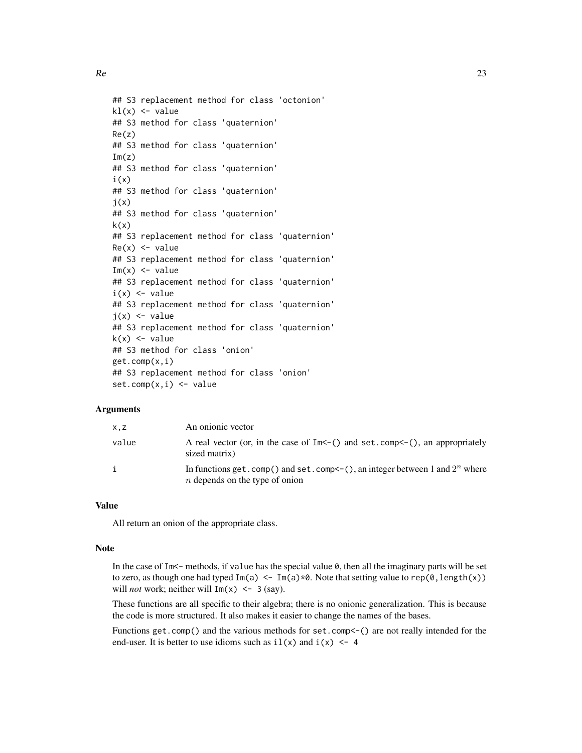$Re$  23

```
## S3 replacement method for class 'octonion'
kl(x) <- value
## S3 method for class 'quaternion'
Re(z)
## S3 method for class 'quaternion'
Im(z)## S3 method for class 'quaternion'
i(x)## S3 method for class 'quaternion'
j(x)## S3 method for class 'quaternion'
k(x)## S3 replacement method for class 'quaternion'
Re(x) <- value
## S3 replacement method for class 'quaternion'
Im(x) <- value
## S3 replacement method for class 'quaternion'
i(x) <- value
## S3 replacement method for class 'quaternion'
i(x) <- value
## S3 replacement method for class 'quaternion'
k(x) \leq value
## S3 method for class 'onion'
get.comp(x,i)
## S3 replacement method for class 'onion'
set.comp(x,i) < - value
```
#### Arguments

| X,Z   | An onionic vector                                                                                                          |
|-------|----------------------------------------------------------------------------------------------------------------------------|
| value | A real vector (or, in the case of $Im<-($ ) and set.comp $\leq$ -(), an appropriately<br>sized matrix)                     |
|       | In functions get. comp() and set. comp $\leq$ (), an integer between 1 and $2^n$ where<br>$n$ depends on the type of onion |

#### Value

All return an onion of the appropriate class.

#### Note

In the case of  $Im<$  methods, if value has the special value  $\theta$ , then all the imaginary parts will be set to zero, as though one had typed  $Im(a) < - Im(a) \times 0$ . Note that setting value to rep(0, length(x)) will *not* work; neither will  $Im(x) < -3$  (say).

These functions are all specific to their algebra; there is no onionic generalization. This is because the code is more structured. It also makes it easier to change the names of the bases.

Functions get.comp() and the various methods for set.comp<-() are not really intended for the end-user. It is better to use idioms such as  $il(x)$  and  $i(x)$  <- 4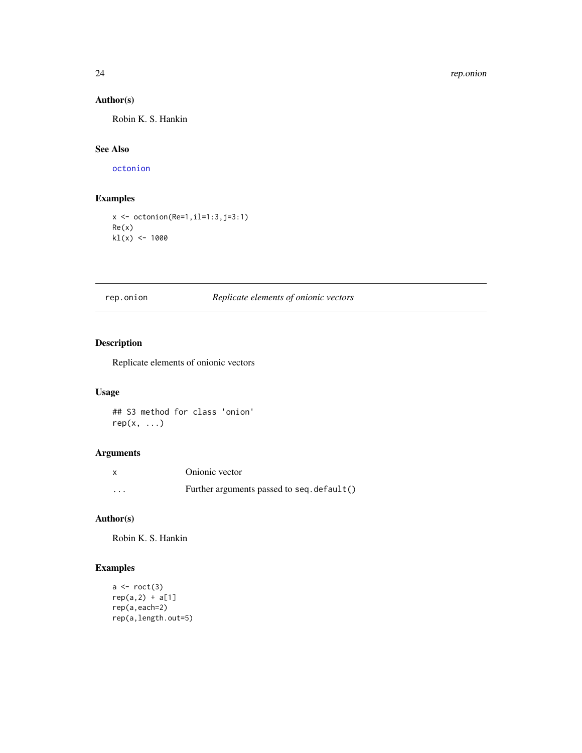# <span id="page-23-0"></span>Author(s)

Robin K. S. Hankin

#### See Also

[octonion](#page-13-1)

#### Examples

x <- octonion(Re=1,il=1:3,j=3:1) Re(x)  $kl(x)$  <- 1000

rep.onion *Replicate elements of onionic vectors*

#### Description

Replicate elements of onionic vectors

# Usage

## S3 method for class 'onion'  $rep(x, \ldots)$ 

#### Arguments

|          | Onionic vector                             |
|----------|--------------------------------------------|
| $\cdots$ | Further arguments passed to seq. default() |

# Author(s)

Robin K. S. Hankin

#### Examples

```
a \leftarrow \text{rect}(3)rep(a,2) + a[1]rep(a,each=2)
rep(a,length.out=5)
```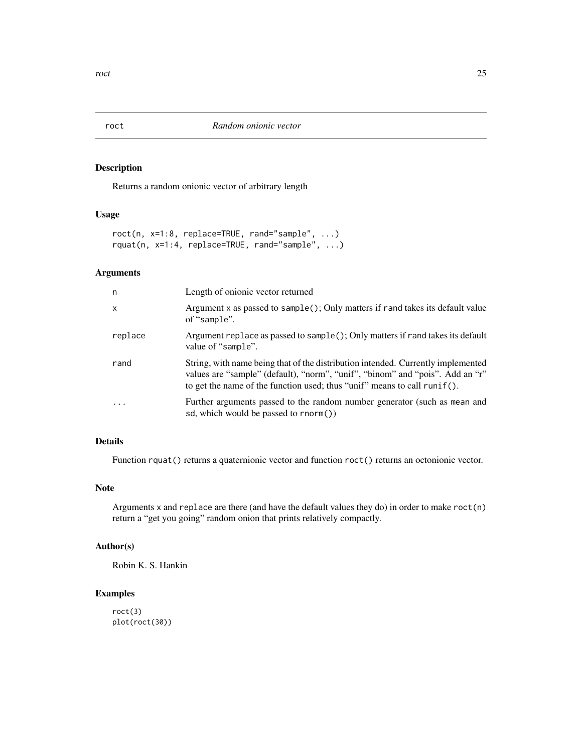Returns a random onionic vector of arbitrary length

#### Usage

```
roct(n, x=1:8, replace=TRUE, rand="sample", ...)
rquat(n, x=1:4, replace=TRUE, rand="sample", ...)
```
#### Arguments

| n            | Length of onionic vector returned                                                                                                                                                                                                             |
|--------------|-----------------------------------------------------------------------------------------------------------------------------------------------------------------------------------------------------------------------------------------------|
| $\mathsf{x}$ | Argument x as passed to sample(); Only matters if rand takes its default value<br>of "sample".                                                                                                                                                |
| replace      | Argument replace as passed to sample $()$ ; Only matters if rand takes its default<br>value of "sample".                                                                                                                                      |
| rand         | String, with name being that of the distribution intended. Currently implemented<br>values are "sample" (default), "norm", "unif", "binom" and "pois". Add an "r"<br>to get the name of the function used; thus "unif" means to call runif(). |
| .            | Further arguments passed to the random number generator (such as mean and<br>sd, which would be passed to rnorm())                                                                                                                            |

# Details

Function rquat() returns a quaternionic vector and function roct() returns an octonionic vector.

#### Note

Arguments x and replace are there (and have the default values they do) in order to make roct(n) return a "get you going" random onion that prints relatively compactly.

#### Author(s)

Robin K. S. Hankin

# Examples

roct(3) plot(roct(30))

<span id="page-24-0"></span>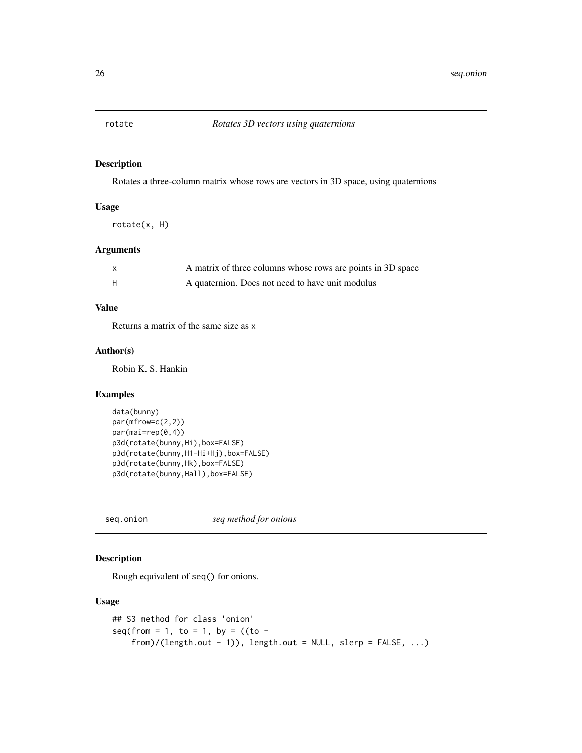<span id="page-25-0"></span>

Rotates a three-column matrix whose rows are vectors in 3D space, using quaternions

#### Usage

rotate(x, H)

#### Arguments

| A matrix of three columns whose rows are points in 3D space |
|-------------------------------------------------------------|
| A quaternion. Does not need to have unit modulus            |

#### Value

Returns a matrix of the same size as x

#### Author(s)

Robin K. S. Hankin

#### Examples

```
data(bunny)
par(mfrow=c(2,2))
par(mai=rep(0,4))
p3d(rotate(bunny,Hi),box=FALSE)
p3d(rotate(bunny,H1-Hi+Hj),box=FALSE)
p3d(rotate(bunny,Hk),box=FALSE)
p3d(rotate(bunny,Hall),box=FALSE)
```
seq.onion *seq method for onions*

#### Description

Rough equivalent of seq() for onions.

#### Usage

```
## S3 method for class 'onion'
seq(from = 1, to = 1, by = ((to -from)/(length.out - 1)), length.out = NULL, slerp = FALSE, ...)
```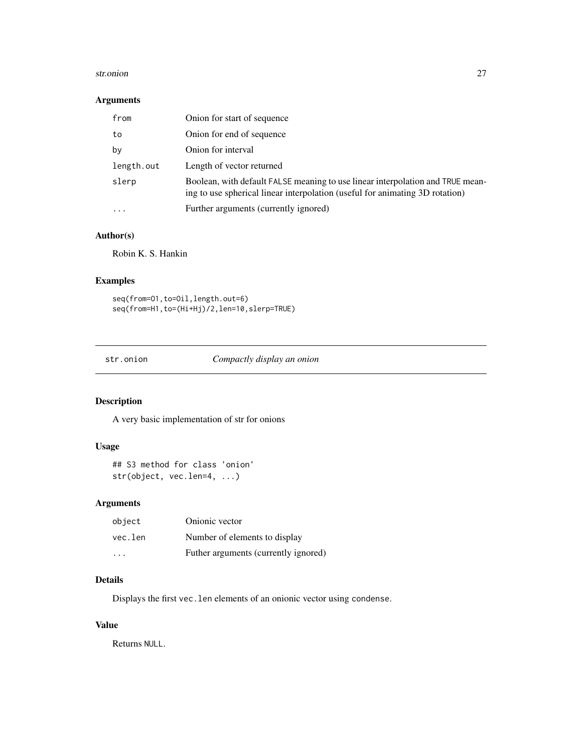#### <span id="page-26-0"></span>str.onion 27

#### Arguments

| from       | Onion for start of sequence                                                                                                                                    |
|------------|----------------------------------------------------------------------------------------------------------------------------------------------------------------|
| to         | Onion for end of sequence                                                                                                                                      |
| by         | Onion for interval                                                                                                                                             |
| length.out | Length of vector returned                                                                                                                                      |
| slerp      | Boolean, with default FALSE meaning to use linear interpolation and TRUE mean-<br>ing to use spherical linear interpolation (useful for animating 3D rotation) |
| $\cdot$    | Further arguments (currently ignored)                                                                                                                          |

#### Author(s)

Robin K. S. Hankin

#### Examples

```
seq(from=O1,to=Oil,length.out=6)
seq(from=H1,to=(Hi+Hj)/2,len=10,slerp=TRUE)
```
str.onion *Compactly display an onion*

#### Description

A very basic implementation of str for onions

#### Usage

```
## S3 method for class 'onion'
str(object, vec.len=4, ...)
```
#### Arguments

| object  | Onionic vector                       |
|---------|--------------------------------------|
| vec.len | Number of elements to display        |
| $\cdot$ | Futher arguments (currently ignored) |

# Details

Displays the first vec.len elements of an onionic vector using condense.

#### Value

Returns NULL.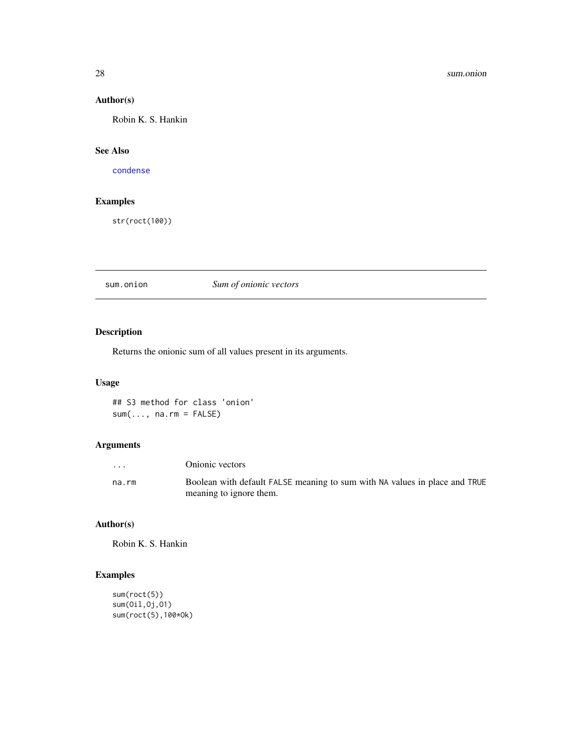#### 28 sum.onion

# Author(s)

Robin K. S. Hankin

#### See Also

[condense](#page-5-1)

#### Examples

str(roct(100))

sum.onion *Sum of onionic vectors*

# Description

Returns the onionic sum of all values present in its arguments.

#### Usage

## S3 method for class 'onion'  $sum(..., na.rm = FALSE)$ 

# Arguments

| $\cdots$ | Onionic vectors                                                            |
|----------|----------------------------------------------------------------------------|
| na.rm    | Boolean with default FALSE meaning to sum with NA values in place and TRUE |
|          | meaning to ignore them.                                                    |

#### Author(s)

Robin K. S. Hankin

# Examples

```
sum(roct(5))
sum(Oil,Oj,O1)
sum(roct(5),100*Ok)
```
<span id="page-27-0"></span>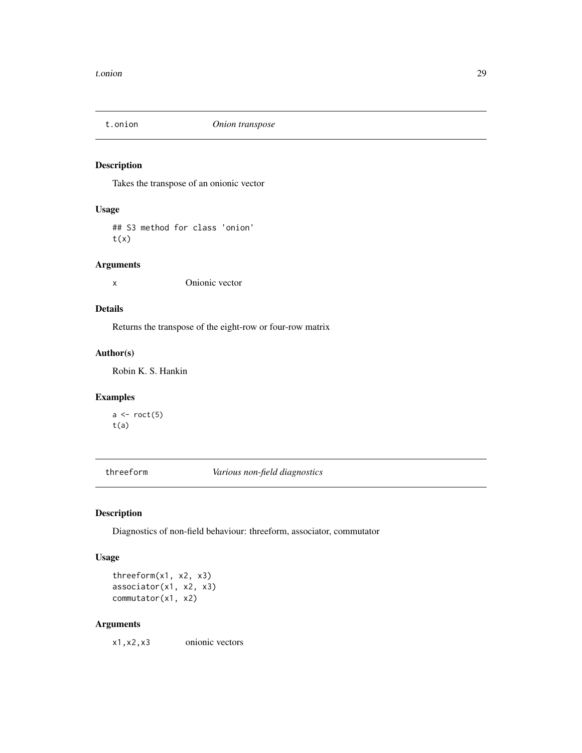<span id="page-28-0"></span>

Takes the transpose of an onionic vector

# Usage

## S3 method for class 'onion'  $t(x)$ 

#### Arguments

x Onionic vector

# Details

Returns the transpose of the eight-row or four-row matrix

#### Author(s)

Robin K. S. Hankin

### Examples

 $a \leftarrow \text{rect}(5)$ t(a)

threeform *Various non-field diagnostics*

# Description

Diagnostics of non-field behaviour: threeform, associator, commutator

#### Usage

threeform(x1, x2, x3) associator(x1, x2, x3) commutator(x1, x2)

#### Arguments

x1,x2,x3 onionic vectors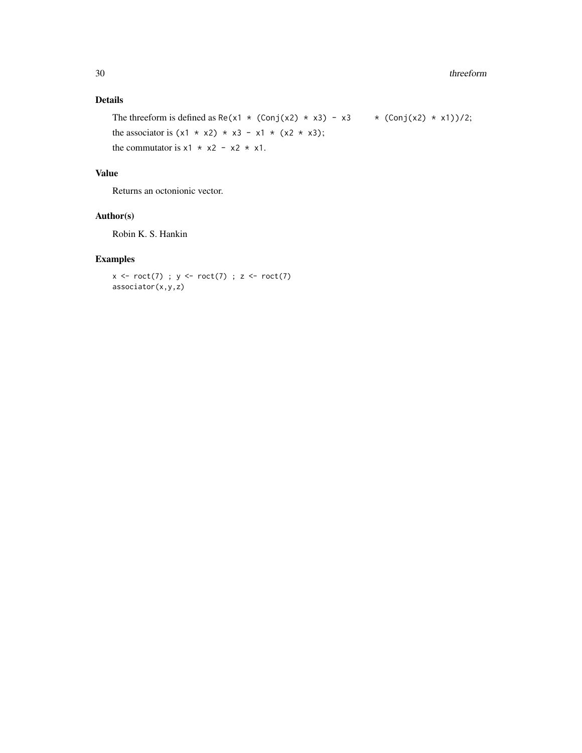# Details

The threeform is defined as Re(x1 \* (Conj(x2) \* x3) - x3 \* (Conj(x2) \* x1))/2; the associator is  $(x1 \times x2) \times x3 - x1 \times (x2 \times x3)$ ; the commutator is  $x1 \times x2 - x2 \times x1$ .

#### Value

Returns an octonionic vector.

#### Author(s)

Robin K. S. Hankin

#### Examples

 $x \leftarrow \text{rect}(7)$ ;  $y \leftarrow \text{rect}(7)$ ;  $z \leftarrow \text{rect}(7)$ associator(x,y,z)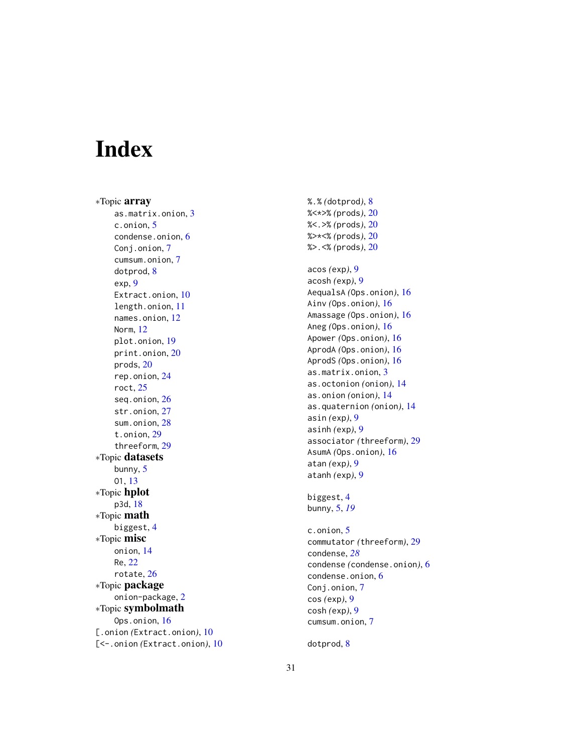# <span id="page-30-0"></span>Index

∗Topic array as.matrix.onion , [3](#page-2-0) c.onion , [5](#page-4-0) condense.onion , [6](#page-5-0) Conj.onion, [7](#page-6-0) cumsum.onion, [7](#page-6-0) dotprod, [8](#page-7-0) exp , [9](#page-8-0) Extract.onion, [10](#page-9-0) length.onion , [11](#page-10-0) names.onion , [12](#page-11-0) Norm , [12](#page-11-0) plot.onion , [19](#page-18-0) print.onion , [20](#page-19-0) prods , [20](#page-19-0) rep.onion , [24](#page-23-0) roct , [25](#page-24-0) seq.onion , [26](#page-25-0) str.onion , [27](#page-26-0) sum.onion, [28](#page-27-0) t.onion , [29](#page-28-0) threeform , [29](#page-28-0) ∗Topic datasets bunny, [5](#page-4-0) O1 , [13](#page-12-0) ∗Topic hplot p3d , [18](#page-17-0) ∗Topic math biggest , [4](#page-3-0) ∗Topic misc onion , [14](#page-13-0) Re , [22](#page-21-0) rotate , [26](#page-25-0) ∗Topic package onion-package , [2](#page-1-0) ∗Topic symbolmath Ops.onion, [16](#page-15-0) [.onion (Extract.onion), [10](#page-9-0) [<-.onion *(*Extract.onion *)* , [10](#page-9-0) %.% *(*dotprod *)* , [8](#page-7-0) %<\*>% *(*prods *)* , [20](#page-19-0) %<.>% *(*prods *)* , [20](#page-19-0) %>\*<% *(*prods *)* , [20](#page-19-0) %>.<% *(*prods *)* , [20](#page-19-0)

acos *(*exp *)* , [9](#page-8-0) acosh *(*exp *)* , [9](#page-8-0) AequalsA *(*Ops.onion *)* , [16](#page-15-0) Ainv *(*Ops.onion *)* , [16](#page-15-0) Amassage *(*Ops.onion *)* , [16](#page-15-0) Aneg *(*Ops.onion *)* , [16](#page-15-0) Apower *(*Ops.onion *)* , [16](#page-15-0) AprodA *(*Ops.onion *)* , [16](#page-15-0) AprodS *(*Ops.onion *)* , [16](#page-15-0) as.matrix.onion , [3](#page-2-0) as.octonion *(*onion *)* , [14](#page-13-0) as.onion *(*onion *)* , [14](#page-13-0) as.quaternion *(*onion *)* , [14](#page-13-0) asin *(*exp *)* , [9](#page-8-0) asinh *(*exp *)* , [9](#page-8-0) associator *(*threeform *)* , [29](#page-28-0) AsumA *(*Ops.onion *)* , [16](#page-15-0) atan *(*exp *)* , [9](#page-8-0) atanh *(*exp *)* , [9](#page-8-0)

biggest, [4](#page-3-0) bunny , [5](#page-4-0) , *[19](#page-18-0)*

c.onion , [5](#page-4-0) commutator *(*threeform *)* , [29](#page-28-0) condense , *[28](#page-27-0)* condense *(*condense.onion *)* , [6](#page-5-0) condense.onion , [6](#page-5-0) Conj.onion, [7](#page-6-0) cos *(*exp *)* , [9](#page-8-0) cosh *(*exp *)* , [9](#page-8-0) cumsum.onion, [7](#page-6-0)

dotprod, <mark>[8](#page-7-0)</mark>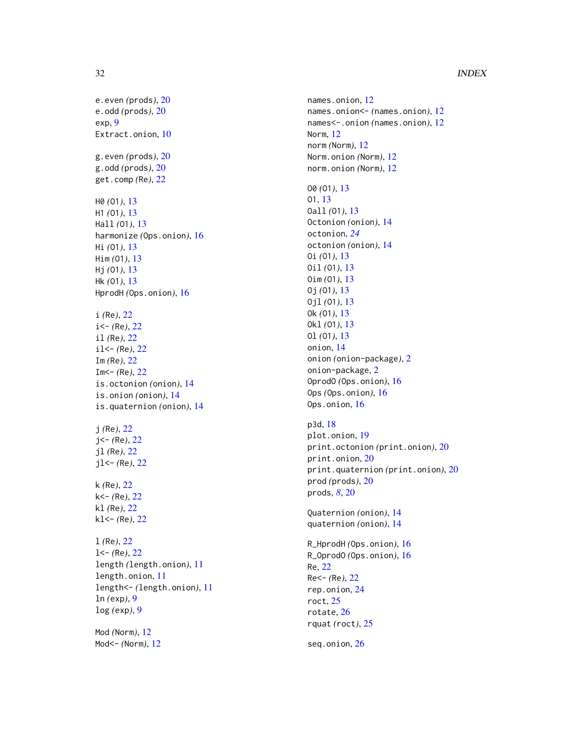#### 32 INDEX

e.even *(*prods *)* , [20](#page-19-0) e.odd *(*prods *)* , [20](#page-19-0) exp , [9](#page-8-0) Extract.onion, [10](#page-9-0) g.even *(*prods *)* , [20](#page-19-0) g.odd *(*prods *)* , [20](#page-19-0) get.comp *(*Re *)* , [22](#page-21-0) H0 *(*O1 *)* , [13](#page-12-0) H1 *(*O1 *)* , [13](#page-12-0) Hall *(*O1 *)* , [13](#page-12-0) harmonize *(*Ops.onion *)* , [16](#page-15-0) Hi *(*O1 *)* , [13](#page-12-0) Him *(*O1 *)* , [13](#page-12-0) Hj *(*O1 *)* , [13](#page-12-0) Hk *(*O1 *)* , [13](#page-12-0) HprodH *(*Ops.onion *)* , [16](#page-15-0) i *(*Re *)* , [22](#page-21-0) i<- *(*Re *)* , [22](#page-21-0) il *(*Re *)* , [22](#page-21-0) il<- *(*Re *)* , [22](#page-21-0) Im *(*Re *)* , [22](#page-21-0) Im<- *(*Re *)* , [22](#page-21-0) is.octonion *(*onion *)* , [14](#page-13-0) is.onion *(*onion *)* , [14](#page-13-0) is.quaternion *(*onion *)* , [14](#page-13-0) j *(*Re *)* , [22](#page-21-0) j<- *(*Re *)* , [22](#page-21-0) jl *(*Re *)* , [22](#page-21-0) jl<- *(*Re *)* , [22](#page-21-0) k *(*Re *)* , [22](#page-21-0) k<- *(*Re *)* , [22](#page-21-0) kl *(*Re *)* , [22](#page-21-0) kl<- *(*Re *)* , [22](#page-21-0) l *(*Re *)* , [22](#page-21-0) l<- *(*Re *)* , [22](#page-21-0) length *(*length.onion *)* , [11](#page-10-0) length.onion , [11](#page-10-0) length<- *(*length.onion *)* , [11](#page-10-0) ln *(*exp *)* , [9](#page-8-0) log *(*exp *)* , [9](#page-8-0) Mod *(*Norm *)* , [12](#page-11-0)

Mod<- *(*Norm *)* , [12](#page-11-0)

names.onion , [12](#page-11-0) names.onion<- *(*names.onion *)* , [12](#page-11-0) names<-.onion(names.onion), [12](#page-11-0) Norm , [12](#page-11-0) norm *(*Norm *)* , [12](#page-11-0) Norm.onion *(*Norm *)* , [12](#page-11-0) norm.onion *(*Norm *)* , [12](#page-11-0) O0 *(*O1 *)* , [13](#page-12-0) O1 , [13](#page-12-0) Oall *(*O1 *)* , [13](#page-12-0) Octonion *(*onion *)* , [14](#page-13-0) octonion , *[24](#page-23-0)* octonion *(*onion *)* , [14](#page-13-0) Oi *(*O1 *)* , [13](#page-12-0) Oil *(*O1 *)* , [13](#page-12-0) Oim *(*O1 *)* , [13](#page-12-0) Oj *(*O1 *)* , [13](#page-12-0) Ojl *(*O1 *)* , [13](#page-12-0) Ok *(*O1 *)* , [13](#page-12-0) Okl *(*O1 *)* , [13](#page-12-0) Ol *(*O1 *)* , [13](#page-12-0) onion , [14](#page-13-0) onion *(*onion-package *)* , [2](#page-1-0) onion-package, [2](#page-1-0) OprodO *(*Ops.onion *)* , [16](#page-15-0) Ops *(*Ops.onion *)* , [16](#page-15-0) Ops.onion, [16](#page-15-0) p3d , [18](#page-17-0) plot.onion , [19](#page-18-0) print.octonion *(*print.onion *)* , [20](#page-19-0) print.onion , [20](#page-19-0) print.quaternion *(*print.onion *)* , [20](#page-19-0) prod *(*prods *)* , [20](#page-19-0) prods , *[8](#page-7-0)* , [20](#page-19-0) Quaternion *(*onion *)* , [14](#page-13-0) quaternion *(*onion *)* , [14](#page-13-0) R\_HprodH *(*Ops.onion *)* , [16](#page-15-0) R\_OprodO *(*Ops.onion *)* , [16](#page-15-0) Re , [22](#page-21-0) Re<- *(*Re *)* , [22](#page-21-0) rep.onion , [24](#page-23-0) roct , [25](#page-24-0) rotate , [26](#page-25-0) rquat *(*roct *)* , [25](#page-24-0) seq.onion , [26](#page-25-0)